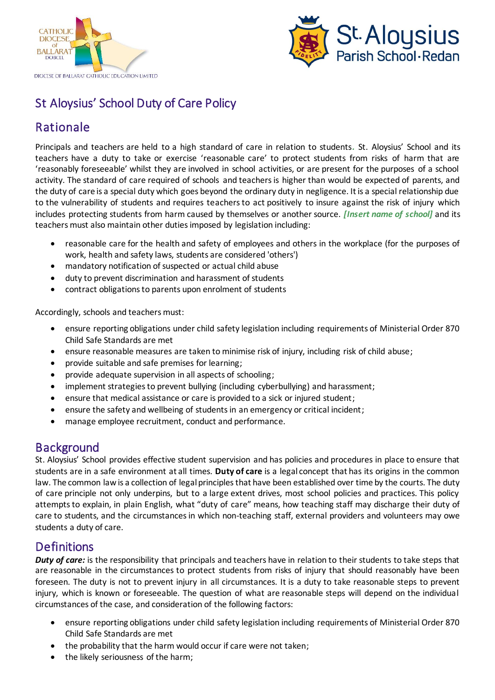



# St Aloysius' School Duty of Care Policy

## Rationale

Principals and teachers are held to a high standard of care in relation to students*.* St. Aloysius' School and its teachers have a duty to take or exercise 'reasonable care' to protect students from risks of harm that are 'reasonably foreseeable' whilst they are involved in school activities, or are present for the purposes of a school activity. The standard of care required of schools and teachers is higher than would be expected of parents, and the duty of care is a special duty which goes beyond the ordinary duty in negligence. It is a special relationship due to the vulnerability of students and requires teachers to act positively to insure against the risk of injury which includes protecting students from harm caused by themselves or another source. *[Insert name of school]* and its teachers must also maintain other duties imposed by legislation including:

- reasonable care for the health and safety of employees and others in the workplace (for the purposes of work, health and safety laws, students are considered 'others')
- mandatory notification of suspected or actual child abuse
- duty to prevent discrimination and harassment of students
- contract obligations to parents upon enrolment of students

Accordingly, schools and teachers must:

- ensure reporting obligations under child safety legislation including requirements of Ministerial Order 870 Child Safe Standards are met
- ensure reasonable measures are taken to minimise risk of injury, including risk of child abuse;
- provide suitable and safe premises for learning;
- provide adequate supervision in all aspects of schooling;
- implement strategies to prevent bullying (including cyberbullying) and harassment;
- ensure that medical assistance or care is provided to a sick or injured student;
- ensure the safety and wellbeing of students in an emergency or critical incident;
- manage employee recruitment, conduct and performance.

## **Background**

St. Aloysius' School provides effective student supervision and has policies and procedures in place to ensure that students are in a safe environment at all times. **Duty of care** is a legal concept that has its origins in the common law. The common law is a collection of legal principles that have been established over time by the courts. The duty of care principle not only underpins, but to a large extent drives, most school policies and practices. This policy attempts to explain, in plain English, what "duty of care" means, how teaching staff may discharge their duty of care to students, and the circumstances in which non-teaching staff, external providers and volunteers may owe students a duty of care.

## **Definitions**

*Duty of care:* is the responsibility that principals and teachers have in relation to their students to take steps that are reasonable in the circumstances to protect students from risks of injury that should reasonably have been foreseen. The duty is not to prevent injury in all circumstances. It is a duty to take reasonable steps to prevent injury, which is known or foreseeable. The question of what are reasonable steps will depend on the individual circumstances of the case, and consideration of the following factors:

- ensure reporting obligations under child safety legislation including requirements of Ministerial Order 870 Child Safe Standards are met
- the probability that the harm would occur if care were not taken;
- the likely seriousness of the harm;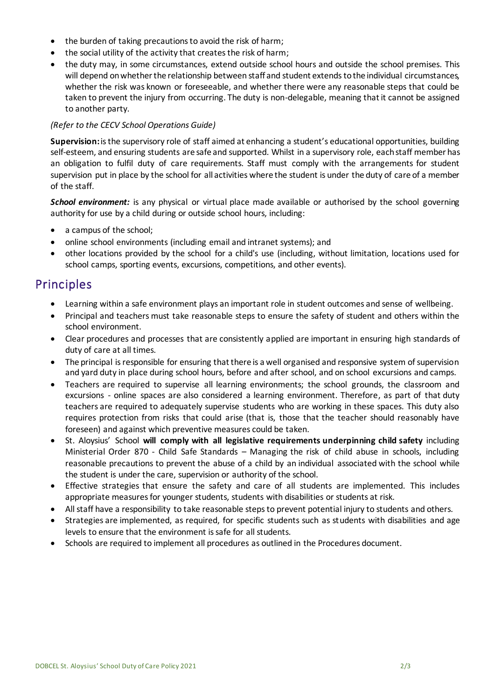- the burden of taking precautions to avoid the risk of harm;
- the social utility of the activity that creates the risk of harm;
- the duty may, in some circumstances, extend outside school hours and outside the school premises. This will depend on whether the relationship between staff and student extends to the individual circumstances, whether the risk was known or foreseeable, and whether there were any reasonable steps that could be taken to prevent the injury from occurring. The duty is non-delegable, meaning that it cannot be assigned to another party.

#### *(Refer to the CECV School Operations Guide)*

**Supervision:**is the supervisory role of staff aimed at enhancing a student's educational opportunities, building self-esteem, and ensuring students are safe and supported. Whilst in a supervisory role, each staff member has an obligation to fulfil duty of care requirements. Staff must comply with the arrangements for student supervision put in place by the school for all activities where the student is under the duty of care of a member of the staff.

**School environment:** is any physical or virtual place made available or authorised by the school governing authority for use by a child during or outside school hours, including:

- a campus of the school;
- online school environments (including email and intranet systems); and
- other locations provided by the school for a child's use (including, without limitation, locations used for school camps, sporting events, excursions, competitions, and other events).

### Principles

- Learning within a safe environment plays an important role in student outcomes and sense of wellbeing.
- Principal and teachers must take reasonable steps to ensure the safety of student and others within the school environment.
- Clear procedures and processes that are consistently applied are important in ensuring high standards of duty of care at all times.
- The principal is responsible for ensuring that there is a well organised and responsive system of supervision and yard duty in place during school hours, before and after school, and on school excursions and camps.
- Teachers are required to supervise all learning environments; the school grounds, the classroom and excursions - online spaces are also considered a learning environment. Therefore, as part of that duty teachers are required to adequately supervise students who are working in these spaces. This duty also requires protection from risks that could arise (that is, those that the teacher should reasonably have foreseen) and against which preventive measures could be taken.
- St. Aloysius' School **will comply with all legislative requirements underpinning child safety** including Ministerial Order 870 - Child Safe Standards – Managing the risk of child abuse in schools, including reasonable precautions to prevent the abuse of a child by an individual associated with the school while the student is under the care, supervision or authority of the school.
- Effective strategies that ensure the safety and care of all students are implemented. This includes appropriate measures for younger students, students with disabilities or students at risk.
- All staff have a responsibility to take reasonable steps to prevent potential injury to students and others.
- Strategies are implemented, as required, for specific students such as students with disabilities and age levels to ensure that the environment is safe for all students.
- Schools are required to implement all procedures as outlined in the Procedures document.